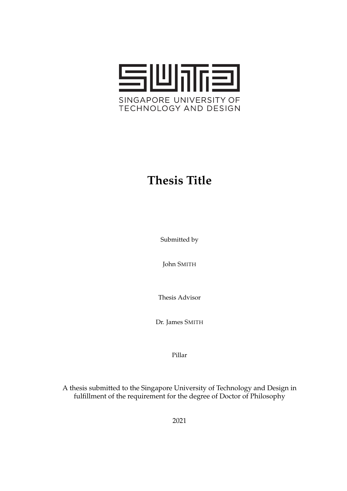

## **Thesis Title**

Submitted by

John SMITH

Thesis Advisor

Dr. James SMITH

Pillar

A thesis submitted to the Singapore University of Technology and Design in fulfillment of the requirement for the degree of Doctor of Philosophy

2021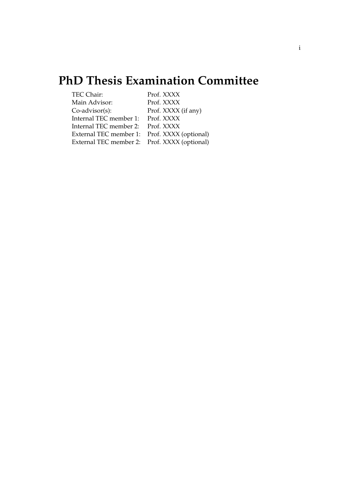### **PhD Thesis Examination Committee**

<span id="page-1-0"></span>

| TEC Chair:                                   | Prof. XXXX          |
|----------------------------------------------|---------------------|
| Main Advisor:                                | Prof. XXXX          |
| $Co$ -advisor $(s)$ :                        | Prof. XXXX (if any) |
| Internal TEC member 1: Prof. XXXX            |                     |
| Internal TEC member 2: Prof. XXXX            |                     |
| External TEC member 1: Prof. XXXX (optional) |                     |
| External TEC member 2: Prof. XXXX (optional) |                     |
|                                              |                     |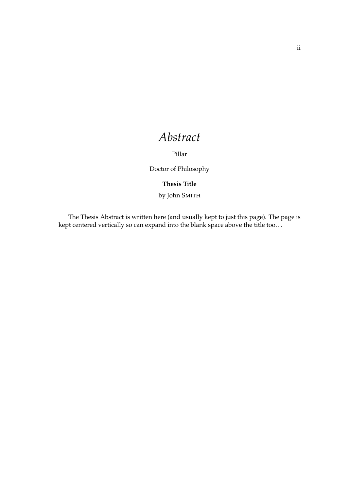### *Abstract*

Pillar

Doctor of Philosophy

#### **Thesis Title**

by John SMITH

<span id="page-2-0"></span>The Thesis Abstract is written here (and usually kept to just this page). The page is kept centered vertically so can expand into the blank space above the title too. . .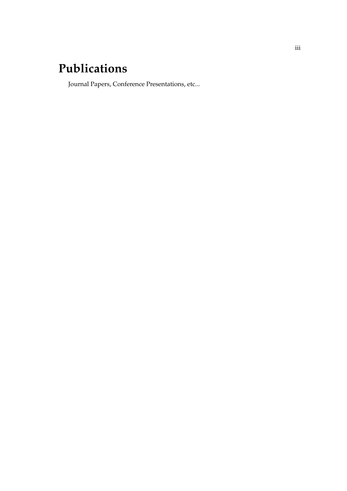### **Publications**

<span id="page-3-0"></span>Journal Papers, Conference Presentations, etc...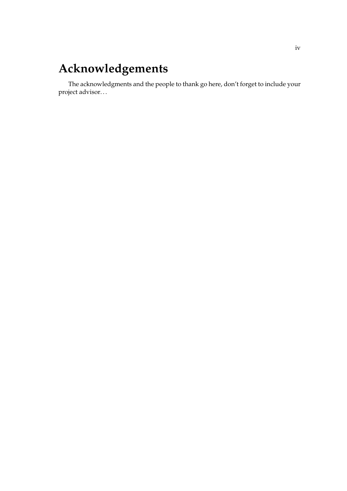### **Acknowledgements**

<span id="page-4-0"></span>The acknowledgments and the people to thank go here, don't forget to include your project advisor. . .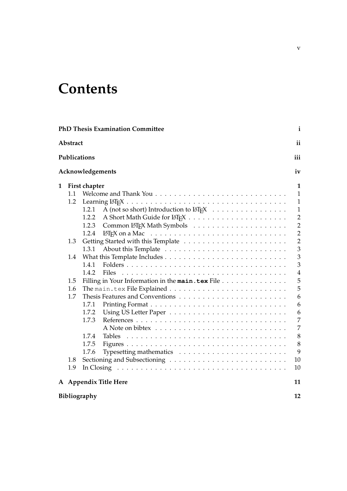## **Contents**

| Abstract<br>Publications<br>Acknowledgements<br>$\mathbf 1$<br>First chapter<br>1.1<br>1.2<br>A (not so short) Introduction to LAT <sub>E</sub> X<br>1.2.1<br>1.2.2<br>1.2.3<br>1.2.4<br>LAT <sub>E</sub> X on a Mac $\ldots \ldots \ldots \ldots \ldots \ldots \ldots \ldots \ldots \ldots$<br>1.3<br>1.3.1<br>1.4<br>1.4.1<br><b>Files</b><br>1.4.2<br>Filling in Your Information in the main.tex File<br>1.5<br>1.6<br>1.7<br>1.7.1<br>1.7.2<br>1.7.3<br>1.7.4<br>Tables<br>1.7.5<br>1.7.6<br>1.8<br>1.9<br>In Closing $\dots \dots \dots \dots \dots \dots \dots \dots \dots \dots \dots \dots \dots \dots \dots$<br>A Appendix Title Here | $\mathbf{i}$   |
|-------------------------------------------------------------------------------------------------------------------------------------------------------------------------------------------------------------------------------------------------------------------------------------------------------------------------------------------------------------------------------------------------------------------------------------------------------------------------------------------------------------------------------------------------------------------------------------------------------------------------------------------------|----------------|
|                                                                                                                                                                                                                                                                                                                                                                                                                                                                                                                                                                                                                                                 | ii             |
|                                                                                                                                                                                                                                                                                                                                                                                                                                                                                                                                                                                                                                                 | iii            |
|                                                                                                                                                                                                                                                                                                                                                                                                                                                                                                                                                                                                                                                 | iv             |
|                                                                                                                                                                                                                                                                                                                                                                                                                                                                                                                                                                                                                                                 | $\mathbf{1}$   |
|                                                                                                                                                                                                                                                                                                                                                                                                                                                                                                                                                                                                                                                 | $\mathbf{1}$   |
|                                                                                                                                                                                                                                                                                                                                                                                                                                                                                                                                                                                                                                                 | $\mathbf{1}$   |
|                                                                                                                                                                                                                                                                                                                                                                                                                                                                                                                                                                                                                                                 | $\mathbf{1}$   |
|                                                                                                                                                                                                                                                                                                                                                                                                                                                                                                                                                                                                                                                 | $\overline{2}$ |
|                                                                                                                                                                                                                                                                                                                                                                                                                                                                                                                                                                                                                                                 | $\overline{2}$ |
|                                                                                                                                                                                                                                                                                                                                                                                                                                                                                                                                                                                                                                                 | $\overline{2}$ |
|                                                                                                                                                                                                                                                                                                                                                                                                                                                                                                                                                                                                                                                 | $\overline{2}$ |
|                                                                                                                                                                                                                                                                                                                                                                                                                                                                                                                                                                                                                                                 | 3              |
|                                                                                                                                                                                                                                                                                                                                                                                                                                                                                                                                                                                                                                                 | 3              |
|                                                                                                                                                                                                                                                                                                                                                                                                                                                                                                                                                                                                                                                 | 3              |
|                                                                                                                                                                                                                                                                                                                                                                                                                                                                                                                                                                                                                                                 | $\overline{4}$ |
|                                                                                                                                                                                                                                                                                                                                                                                                                                                                                                                                                                                                                                                 | 5              |
|                                                                                                                                                                                                                                                                                                                                                                                                                                                                                                                                                                                                                                                 | 5              |
|                                                                                                                                                                                                                                                                                                                                                                                                                                                                                                                                                                                                                                                 | 6              |
|                                                                                                                                                                                                                                                                                                                                                                                                                                                                                                                                                                                                                                                 | 6              |
|                                                                                                                                                                                                                                                                                                                                                                                                                                                                                                                                                                                                                                                 | 6              |
|                                                                                                                                                                                                                                                                                                                                                                                                                                                                                                                                                                                                                                                 | 7              |
|                                                                                                                                                                                                                                                                                                                                                                                                                                                                                                                                                                                                                                                 | $\overline{7}$ |
|                                                                                                                                                                                                                                                                                                                                                                                                                                                                                                                                                                                                                                                 | $\,8\,$        |
|                                                                                                                                                                                                                                                                                                                                                                                                                                                                                                                                                                                                                                                 | 8              |
|                                                                                                                                                                                                                                                                                                                                                                                                                                                                                                                                                                                                                                                 | 9              |
|                                                                                                                                                                                                                                                                                                                                                                                                                                                                                                                                                                                                                                                 | 10             |
|                                                                                                                                                                                                                                                                                                                                                                                                                                                                                                                                                                                                                                                 | 10             |
|                                                                                                                                                                                                                                                                                                                                                                                                                                                                                                                                                                                                                                                 |                |
|                                                                                                                                                                                                                                                                                                                                                                                                                                                                                                                                                                                                                                                 | 11             |
| Bibliography                                                                                                                                                                                                                                                                                                                                                                                                                                                                                                                                                                                                                                    | 12             |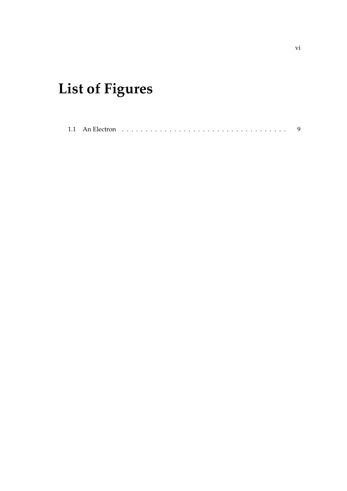# **List of Figures**

|--|--|--|--|--|--|--|--|--|--|--|--|--|--|--|--|--|--|--|--|--|--|--|--|--|--|--|--|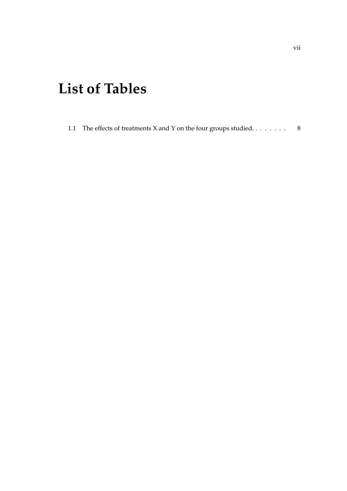## **List of Tables**

[1.1 The effects of treatments X and Y on the four groups studied.](#page-16-2)  $\dots \dots$  . 8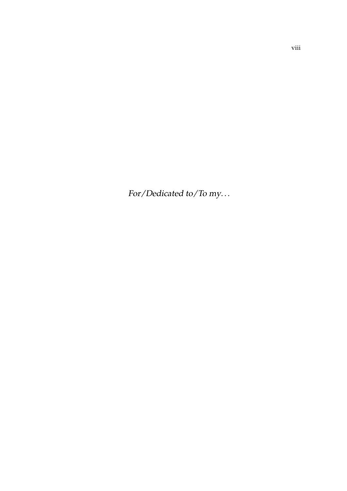For/Dedicated to/To my. . .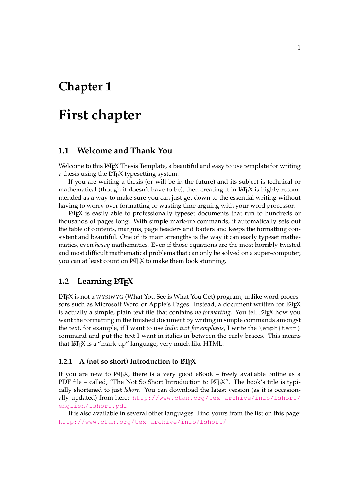### <span id="page-9-0"></span>**Chapter 1**

### **First chapter**

#### <span id="page-9-1"></span>**1.1 Welcome and Thank You**

Welcome to this LATEX Thesis Template, a beautiful and easy to use template for writing a thesis using the LAT<sub>E</sub>X typesetting system.

If you are writing a thesis (or will be in the future) and its subject is technical or mathematical (though it doesn't have to be), then creating it in  $\mathbb{E} T_F X$  is highly recommended as a way to make sure you can just get down to the essential writing without having to worry over formatting or wasting time arguing with your word processor.

 $\Delta E$ <sub>TE</sub>X is easily able to professionally typeset documents that run to hundreds or thousands of pages long. With simple mark-up commands, it automatically sets out the table of contents, margins, page headers and footers and keeps the formatting consistent and beautiful. One of its main strengths is the way it can easily typeset mathematics, even *heavy* mathematics. Even if those equations are the most horribly twisted and most difficult mathematical problems that can only be solved on a super-computer, you can at least count on LATEX to make them look stunning.

#### <span id="page-9-2"></span>**1.2** Learning LAT<sub>F</sub>X

LATEX is not a WYSIWYG (What You See is What You Get) program, unlike word processors such as Microsoft Word or Apple's Pages. Instead, a document written for LATEX is actually a simple, plain text file that contains *no formatting*. You tell LATEX how you want the formatting in the finished document by writing in simple commands amongst the text, for example, if I want to use *italic text for emphasis*, I write the \emph{text} command and put the text I want in italics in between the curly braces. This means that LAT<sub>F</sub>X is a "mark-up" language, very much like HTML.

#### <span id="page-9-3"></span>**1.2.1** A (not so short) Introduction to  $\text{BTr}X$

If you are new to LATEX, there is a very good eBook – freely available online as a PDF file – called, "The Not So Short Introduction to LATEX". The book's title is typically shortened to just *lshort*. You can download the latest version (as it is occasionally updated) from here: [http://www.ctan.org/tex-archive/info/lshort/](http://www.ctan.org/tex-archive/info/lshort/english/lshort.pdf) [english/lshort.pdf](http://www.ctan.org/tex-archive/info/lshort/english/lshort.pdf)

It is also available in several other languages. Find yours from the list on this page: <http://www.ctan.org/tex-archive/info/lshort/>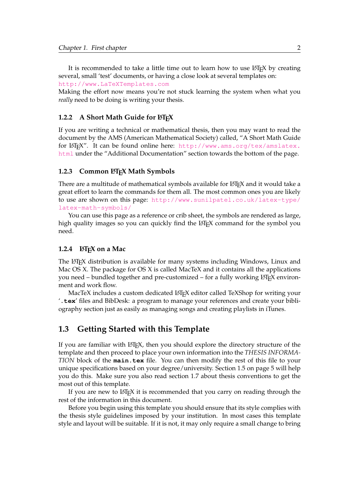It is recommended to take a little time out to learn how to use  $\mathbb{E} \mathbb{E} \mathbb{E} \mathbb{E} \mathbb{E} \mathbb{E} \mathbb{E} \mathbb{E} \mathbb{E} \mathbb{E} \mathbb{E} \mathbb{E} \mathbb{E} \mathbb{E} \mathbb{E} \mathbb{E} \mathbb{E} \mathbb{E} \mathbb{E} \mathbb{E} \mathbb{E} \mathbb{E} \mathbb{E} \mathbb{E} \mathbb{E} \mathbb{E}$ several, small 'test' documents, or having a close look at several templates on:

<http://www.LaTeXTemplates.com>

Making the effort now means you're not stuck learning the system when what you *really* need to be doing is writing your thesis.

#### <span id="page-10-0"></span>**1.2.2** A Short Math Guide for LATEX

If you are writing a technical or mathematical thesis, then you may want to read the document by the AMS (American Mathematical Society) called, "A Short Math Guide for LATEX". It can be found online here: [http://www.ams.org/tex/amslatex.](http://www.ams.org/tex/amslatex.html) [html](http://www.ams.org/tex/amslatex.html) under the "Additional Documentation" section towards the bottom of the page.

#### <span id="page-10-1"></span>1.2.3 Common LAT<sub>E</sub>X Math Symbols

There are a multitude of mathematical symbols available for LATEX and it would take a great effort to learn the commands for them all. The most common ones you are likely to use are shown on this page: [http://www.sunilpatel.co.uk/latex-type/](http://www.sunilpatel.co.uk/latex-type/latex-math-symbols/) [latex-math-symbols/](http://www.sunilpatel.co.uk/latex-type/latex-math-symbols/)

You can use this page as a reference or crib sheet, the symbols are rendered as large, high quality images so you can quickly find the LAT<sub>EX</sub> command for the symbol you need.

#### <span id="page-10-2"></span>**1.2.4 LAPEX** on a Mac

The LATEX distribution is available for many systems including Windows, Linux and Mac OS X. The package for OS X is called MacTeX and it contains all the applications you need – bundled together and pre-customized – for a fully working LAT<sub>EX</sub> environment and work flow.

MacTeX includes a custom dedicated LATEX editor called TeXShop for writing your '**.tex**' files and BibDesk: a program to manage your references and create your bibliography section just as easily as managing songs and creating playlists in iTunes.

#### <span id="page-10-3"></span>**1.3 Getting Started with this Template**

If you are familiar with  $\Delta E_{\text{F}}$ , then you should explore the directory structure of the template and then proceed to place your own information into the *THESIS INFORMA-TION* block of the **main.tex** file. You can then modify the rest of this file to your unique specifications based on your degree/university. Section [1.5](#page-13-0) on page [5](#page-13-0) will help you do this. Make sure you also read section [1.7](#page-14-0) about thesis conventions to get the most out of this template.

If you are new to LATEX it is recommended that you carry on reading through the rest of the information in this document.

Before you begin using this template you should ensure that its style complies with the thesis style guidelines imposed by your institution. In most cases this template style and layout will be suitable. If it is not, it may only require a small change to bring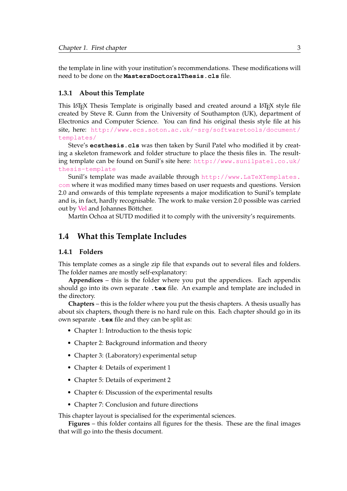the template in line with your institution's recommendations. These modifications will need to be done on the **MastersDoctoralThesis.cls** file.

#### <span id="page-11-0"></span>**1.3.1 About this Template**

This LATEX Thesis Template is originally based and created around a LATEX style file created by Steve R. Gunn from the University of Southampton (UK), department of Electronics and Computer Science. You can find his original thesis style file at his site, here: [http://www.ecs.soton.ac.uk/~srg/softwaretools/document/](http://www.ecs.soton.ac.uk/~srg/softwaretools/document/templates/) [templates/](http://www.ecs.soton.ac.uk/~srg/softwaretools/document/templates/)

Steve's **ecsthesis.cls** was then taken by Sunil Patel who modified it by creating a skeleton framework and folder structure to place the thesis files in. The resulting template can be found on Sunil's site here: [http://www.sunilpatel.co.uk/](http://www.sunilpatel.co.uk/thesis-template) [thesis-template](http://www.sunilpatel.co.uk/thesis-template)

Sunil's template was made available through [http://www.LaTeXTemplates.](http://www.LaTeXTemplates.com) [com](http://www.LaTeXTemplates.com) where it was modified many times based on user requests and questions. Version 2.0 and onwards of this template represents a major modification to Sunil's template and is, in fact, hardly recognisable. The work to make version 2.0 possible was carried out by [Vel](mailto:vel@latextemplates.com) and Johannes Böttcher.

Martín Ochoa at SUTD modified it to comply with the university's requirements.

#### <span id="page-11-1"></span>**1.4 What this Template Includes**

#### <span id="page-11-2"></span>**1.4.1 Folders**

This template comes as a single zip file that expands out to several files and folders. The folder names are mostly self-explanatory:

**Appendices** – this is the folder where you put the appendices. Each appendix should go into its own separate **.tex** file. An example and template are included in the directory.

**Chapters** – this is the folder where you put the thesis chapters. A thesis usually has about six chapters, though there is no hard rule on this. Each chapter should go in its own separate **.tex** file and they can be split as:

- Chapter 1: Introduction to the thesis topic
- Chapter 2: Background information and theory
- Chapter 3: (Laboratory) experimental setup
- Chapter 4: Details of experiment 1
- Chapter 5: Details of experiment 2
- Chapter 6: Discussion of the experimental results
- Chapter 7: Conclusion and future directions

This chapter layout is specialised for the experimental sciences.

**Figures** – this folder contains all figures for the thesis. These are the final images that will go into the thesis document.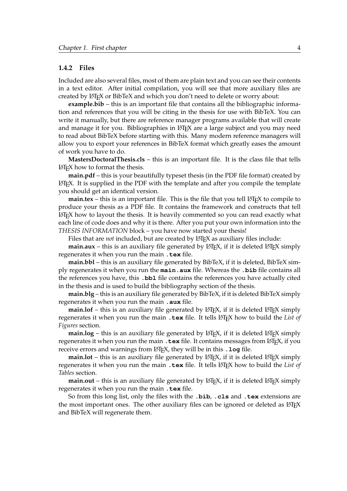#### <span id="page-12-0"></span>**1.4.2 Files**

Included are also several files, most of them are plain text and you can see their contents in a text editor. After initial compilation, you will see that more auxiliary files are created by LATEX or BibTeX and which you don't need to delete or worry about:

**example.bib** – this is an important file that contains all the bibliographic information and references that you will be citing in the thesis for use with BibTeX. You can write it manually, but there are reference manager programs available that will create and manage it for you. Bibliographies in LATEX are a large subject and you may need to read about BibTeX before starting with this. Many modern reference managers will allow you to export your references in BibTeX format which greatly eases the amount of work you have to do.

**MastersDoctoralThesis.cls** – this is an important file. It is the class file that tells  $\Delta E$ F<sub>E</sub>X how to format the thesis.

**main.pdf** – this is your beautifully typeset thesis (in the PDF file format) created by LATEX. It is supplied in the PDF with the template and after you compile the template you should get an identical version.

**main.tex** – this is an important file. This is the file that you tell  $\Delta T_F X$  to compile to produce your thesis as a PDF file. It contains the framework and constructs that tell  $\Delta E$ <sub>EX</sub> how to layout the thesis. It is heavily commented so you can read exactly what each line of code does and why it is there. After you put your own information into the *THESIS INFORMATION* block – you have now started your thesis!

Files that are *not* included, but are created by L<sup>AT</sup>EX as auxiliary files include:

**main.aux** – this is an auxiliary file generated by  $\text{LipX}$ , if it is deleted  $\text{LipX}$  simply regenerates it when you run the main **.tex** file.

**main.bbl** – this is an auxiliary file generated by BibTeX, if it is deleted, BibTeX simply regenerates it when you run the **main.aux** file. Whereas the **.bib** file contains all the references you have, this **.bbl** file contains the references you have actually cited in the thesis and is used to build the bibliography section of the thesis.

**main.blg** – this is an auxiliary file generated by BibTeX, if it is deleted BibTeX simply regenerates it when you run the main **.aux** file.

**main.lof** – this is an auxiliary file generated by  $\Delta T_F X$ , if it is deleted  $\Delta T_F X$  simply regenerates it when you run the main . tex file. It tells LATEX how to build the *List of Figures* section.

**main.log** – this is an auxiliary file generated by  $\angle ETx$ , if it is deleted  $\angle ETx$  simply regenerates it when you run the main **. tex** file. It contains messages from LAT<sub>E</sub>X, if you receive errors and warnings from LATEX, they will be in this **.log** file.

**main.lot** – this is an auxiliary file generated by LAT<sub>E</sub>X, if it is deleted LAT<sub>E</sub>X simply regenerates it when you run the main . tex file. It tells LATEX how to build the *List of Tables* section.

**main.out** – this is an auxiliary file generated by  $\angle$ ET<sub>E</sub>X, if it is deleted  $\angle$ ET<sub>E</sub>X simply regenerates it when you run the main **.tex** file.

So from this long list, only the files with the **.bib**, **.cls** and **.tex** extensions are the most important ones. The other auxiliary files can be ignored or deleted as LATEX and BibTeX will regenerate them.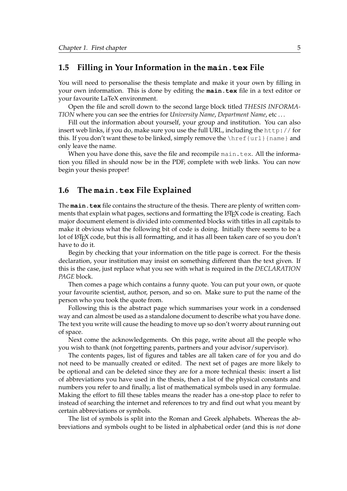#### <span id="page-13-0"></span>**1.5 Filling in Your Information in the main.tex File**

You will need to personalise the thesis template and make it your own by filling in your own information. This is done by editing the **main.tex** file in a text editor or your favourite LaTeX environment.

Open the file and scroll down to the second large block titled *THESIS INFORMA-TION* where you can see the entries for *University Name*, *Department Name*, etc . . .

Fill out the information about yourself, your group and institution. You can also insert web links, if you do, make sure you use the full URL, including the http:// for this. If you don't want these to be linked, simply remove the  $\hbar$  [url] {name} and only leave the name.

When you have done this, save the file and recompile main.tex. All the information you filled in should now be in the PDF, complete with web links. You can now begin your thesis proper!

#### <span id="page-13-1"></span>**1.6 The main.tex File Explained**

The **main.tex** file contains the structure of the thesis. There are plenty of written comments that explain what pages, sections and formatting the L<sup>AT</sup>EX code is creating. Each major document element is divided into commented blocks with titles in all capitals to make it obvious what the following bit of code is doing. Initially there seems to be a lot of LATEX code, but this is all formatting, and it has all been taken care of so you don't have to do it.

Begin by checking that your information on the title page is correct. For the thesis declaration, your institution may insist on something different than the text given. If this is the case, just replace what you see with what is required in the *DECLARATION PAGE* block.

Then comes a page which contains a funny quote. You can put your own, or quote your favourite scientist, author, person, and so on. Make sure to put the name of the person who you took the quote from.

Following this is the abstract page which summarises your work in a condensed way and can almost be used as a standalone document to describe what you have done. The text you write will cause the heading to move up so don't worry about running out of space.

Next come the acknowledgements. On this page, write about all the people who you wish to thank (not forgetting parents, partners and your advisor/supervisor).

The contents pages, list of figures and tables are all taken care of for you and do not need to be manually created or edited. The next set of pages are more likely to be optional and can be deleted since they are for a more technical thesis: insert a list of abbreviations you have used in the thesis, then a list of the physical constants and numbers you refer to and finally, a list of mathematical symbols used in any formulae. Making the effort to fill these tables means the reader has a one-stop place to refer to instead of searching the internet and references to try and find out what you meant by certain abbreviations or symbols.

The list of symbols is split into the Roman and Greek alphabets. Whereas the abbreviations and symbols ought to be listed in alphabetical order (and this is *not* done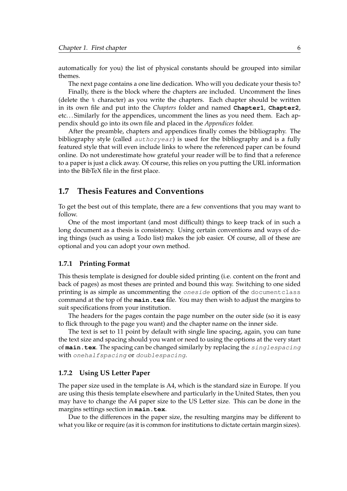automatically for you) the list of physical constants should be grouped into similar themes.

The next page contains a one line dedication. Who will you dedicate your thesis to?

Finally, there is the block where the chapters are included. Uncomment the lines (delete the % character) as you write the chapters. Each chapter should be written in its own file and put into the *Chapters* folder and named **Chapter1**, **Chapter2**, etc. . . Similarly for the appendices, uncomment the lines as you need them. Each appendix should go into its own file and placed in the *Appendices* folder.

After the preamble, chapters and appendices finally comes the bibliography. The bibliography style (called authoryear) is used for the bibliography and is a fully featured style that will even include links to where the referenced paper can be found online. Do not underestimate how grateful your reader will be to find that a reference to a paper is just a click away. Of course, this relies on you putting the URL information into the BibTeX file in the first place.

#### <span id="page-14-0"></span>**1.7 Thesis Features and Conventions**

To get the best out of this template, there are a few conventions that you may want to follow.

One of the most important (and most difficult) things to keep track of in such a long document as a thesis is consistency. Using certain conventions and ways of doing things (such as using a Todo list) makes the job easier. Of course, all of these are optional and you can adopt your own method.

#### <span id="page-14-1"></span>**1.7.1 Printing Format**

This thesis template is designed for double sided printing (i.e. content on the front and back of pages) as most theses are printed and bound this way. Switching to one sided printing is as simple as uncommenting the oneside option of the documentclass command at the top of the **main.tex** file. You may then wish to adjust the margins to suit specifications from your institution.

The headers for the pages contain the page number on the outer side (so it is easy to flick through to the page you want) and the chapter name on the inner side.

The text is set to 11 point by default with single line spacing, again, you can tune the text size and spacing should you want or need to using the options at the very start of **main.tex**. The spacing can be changed similarly by replacing the singlespacing with onehalfspacing or doublespacing.

#### <span id="page-14-2"></span>**1.7.2 Using US Letter Paper**

The paper size used in the template is A4, which is the standard size in Europe. If you are using this thesis template elsewhere and particularly in the United States, then you may have to change the A4 paper size to the US Letter size. This can be done in the margins settings section in **main.tex**.

Due to the differences in the paper size, the resulting margins may be different to what you like or require (as it is common for institutions to dictate certain margin sizes).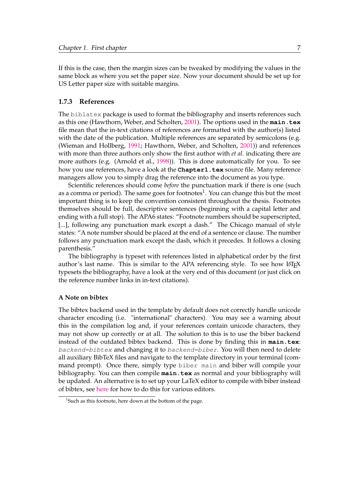If this is the case, then the margin sizes can be tweaked by modifying the values in the same block as where you set the paper size. Now your document should be set up for US Letter paper size with suitable margins.

#### <span id="page-15-0"></span>**1.7.3 References**

The biblatex package is used to format the bibliography and inserts references such as this one (Hawthorn, Weber, and Scholten, [2001\)](#page-20-1). The options used in the **main.tex** file mean that the in-text citations of references are formatted with the author(s) listed with the date of the publication. Multiple references are separated by semicolons (e.g. (Wieman and Hollberg, [1991;](#page-20-2) Hawthorn, Weber, and Scholten, [2001\)](#page-20-1)) and references with more than three authors only show the first author with *et al.* indicating there are more authors (e.g. (Arnold et al., [1998\)](#page-20-3)). This is done automatically for you. To see how you use references, have a look at the **Chapter1.tex** source file. Many reference managers allow you to simply drag the reference into the document as you type.

Scientific references should come *before* the punctuation mark if there is one (such as a comma or period). The same goes for footnotes $^1$  $^1$ . You can change this but the most important thing is to keep the convention consistent throughout the thesis. Footnotes themselves should be full, descriptive sentences (beginning with a capital letter and ending with a full stop). The APA6 states: "Footnote numbers should be superscripted, [...], following any punctuation mark except a dash." The Chicago manual of style states: "A note number should be placed at the end of a sentence or clause. The number follows any punctuation mark except the dash, which it precedes. It follows a closing parenthesis."

The bibliography is typeset with references listed in alphabetical order by the first author's last name. This is similar to the APA referencing style. To see how LATEX typesets the bibliography, have a look at the very end of this document (or just click on the reference number links in in-text citations).

#### <span id="page-15-1"></span>**A Note on bibtex**

The bibtex backend used in the template by default does not correctly handle unicode character encoding (i.e. "international" characters). You may see a warning about this in the compilation log and, if your references contain unicode characters, they may not show up correctly or at all. The solution to this is to use the biber backend instead of the outdated bibtex backend. This is done by finding this in **main.tex**: backend=bibtex and changing it to backend=biber. You will then need to delete all auxiliary BibTeX files and navigate to the template directory in your terminal (command prompt). Once there, simply type biber main and biber will compile your bibliography. You can then compile **main.tex** as normal and your bibliography will be updated. An alternative is to set up your LaTeX editor to compile with biber instead of bibtex, see [here](http://tex.stackexchange.com/questions/154751/biblatex-with-biber-configuring-my-editor-to-avoid-undefined-citations/) for how to do this for various editors.

<span id="page-15-2"></span> $1$ Such as this footnote, here down at the bottom of the page.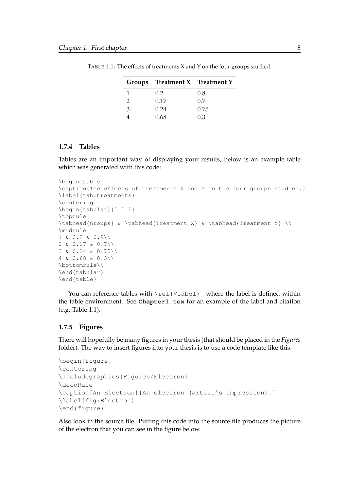|   | Groups Treatment X Treatment Y |      |
|---|--------------------------------|------|
|   | 0.2                            | 0.8  |
| 2 | 0.17                           | 0.7  |
| 3 | 0.24                           | 0.75 |
|   | 0.68                           | 0.3  |

<span id="page-16-2"></span>TABLE 1.1: The effects of treatments X and Y on the four groups studied.

#### <span id="page-16-0"></span>**1.7.4 Tables**

Tables are an important way of displaying your results, below is an example table which was generated with this code:

```
\begin{table}
\caption{The effects of treatments X and Y on the four groups studied.}
\label{tab:treatments}
\centering
\begin{tabular}{l l l}
\toprule
\tabhead{Groups} & \tabhead{Treatment X} & \tabhead{Treatment Y} \\
\midrule
1 \& 0.2 \& 0.8 \& 12 & 0.17 & 0.7\\
3 & 0.24 & 0.75\\
4 & 0.68 & 0.3\\
\bottomrule\\
\end{tabular}
\end{table}
```
You can reference tables with  $\lceil$   $\mathsf{ref}\rceil$   $\lceil$   $\mathsf{label}\rceil$  where the label is defined within the table environment. See **Chapter1.tex** for an example of the label and citation (e.g. Table [1.1\)](#page-16-2).

#### <span id="page-16-1"></span>**1.7.5 Figures**

There will hopefully be many figures in your thesis (that should be placed in the *Figures* folder). The way to insert figures into your thesis is to use a code template like this:

```
\begin{figure}
\centering
\includegraphics{Figures/Electron}
\decoRule
\caption[An Electron]{An electron (artist's impression).}
\label{fig:Electron}
\end{figure}
```
Also look in the source file. Putting this code into the source file produces the picture of the electron that you can see in the figure below.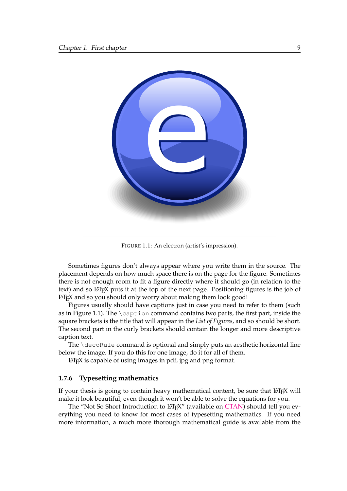<span id="page-17-1"></span>

FIGURE 1.1: An electron (artist's impression).

Sometimes figures don't always appear where you write them in the source. The placement depends on how much space there is on the page for the figure. Sometimes there is not enough room to fit a figure directly where it should go (in relation to the text) and so LATEX puts it at the top of the next page. Positioning figures is the job of LATEX and so you should only worry about making them look good!

Figures usually should have captions just in case you need to refer to them (such as in Figure [1.1\)](#page-17-1). The \caption command contains two parts, the first part, inside the square brackets is the title that will appear in the *List of Figures*, and so should be short. The second part in the curly brackets should contain the longer and more descriptive caption text.

The \decoRule command is optional and simply puts an aesthetic horizontal line below the image. If you do this for one image, do it for all of them.

LATEX is capable of using images in pdf, jpg and png format.

#### <span id="page-17-0"></span>**1.7.6 Typesetting mathematics**

If your thesis is going to contain heavy mathematical content, be sure that LATEX will make it look beautiful, even though it won't be able to solve the equations for you.

The "Not So Short Introduction to LATEX" (available on [CTAN\)](http://www.ctan.org/tex-archive/info/lshort/english/lshort.pdf) should tell you everything you need to know for most cases of typesetting mathematics. If you need more information, a much more thorough mathematical guide is available from the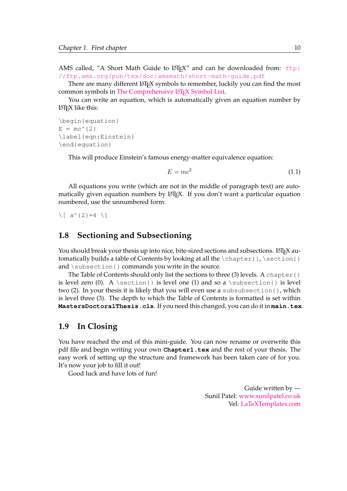AMS called, "A Short Math Guide to LATEX" and can be downloaded from: [ftp:](ftp://ftp.ams.org/pub/tex/doc/amsmath/short-math-guide.pdf) [//ftp.ams.org/pub/tex/doc/amsmath/short-math-guide.pdf](ftp://ftp.ams.org/pub/tex/doc/amsmath/short-math-guide.pdf)

There are many different LATEX symbols to remember, luckily you can find the most common symbols in [The Comprehensive L](http://ctan.org/pkg/comprehensive)ATEX Symbol List.

You can write an equation, which is automatically given an equation number by LATEX like this:

```
\begin{equation}
E = mc^{(2)}\label{eqn:Einstein}
\end{equation}
```
This will produce Einstein's famous energy-matter equivalence equation:

$$
E = mc^2 \tag{1.1}
$$

All equations you write (which are not in the middle of paragraph text) are automatically given equation numbers by LATEX. If you don't want a particular equation numbered, use the unnumbered form:

 $\[\ \{ a^{\wedge} \{ 2 \} = 4 \]$ 

#### <span id="page-18-0"></span>**1.8 Sectioning and Subsectioning**

You should break your thesis up into nice, bite-sized sections and subsections. LATEX automatically builds a table of Contents by looking at all the  $\change$ thapter{}, \section{} and  $\simeq$  subsection{ } commands you write in the source.

The Table of Contents should only list the sections to three (3) levels. A chapter { } is level zero (0). A \section{} is level one (1) and so a \subsection{} is level two (2). In your thesis it is likely that you will even use a subsubsection{}, which is level three (3). The depth to which the Table of Contents is formatted is set within **MastersDoctoralThesis.cls**. If you need this changed, you can do it in **main.tex**.

#### <span id="page-18-1"></span>**1.9 In Closing**

You have reached the end of this mini-guide. You can now rename or overwrite this pdf file and begin writing your own **Chapter1.tex** and the rest of your thesis. The easy work of setting up the structure and framework has been taken care of for you. It's now your job to fill it out!

Good luck and have lots of fun!

Guide written by — Sunil Patel: [www.sunilpatel.co.uk](http://www.sunilpatel.co.uk) Vel: [LaTeXTemplates.com](http://www.LaTeXTemplates.com)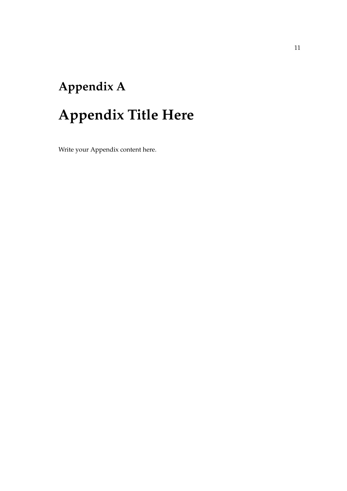# <span id="page-19-0"></span>**Appendix A Appendix Title Here**

Write your Appendix content here.